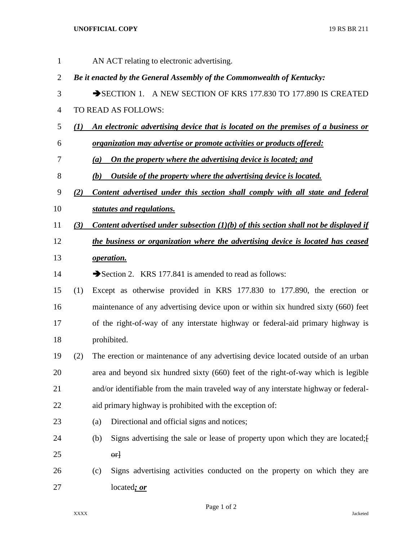## **UNOFFICIAL COPY** 19 RS BR 211

| $\mathbf{1}$ |              | AN ACT relating to electronic advertising.                                             |
|--------------|--------------|----------------------------------------------------------------------------------------|
| 2            |              | Be it enacted by the General Assembly of the Commonwealth of Kentucky:                 |
| 3            |              | SECTION 1. A NEW SECTION OF KRS 177.830 TO 177.890 IS CREATED                          |
| 4            |              | TO READ AS FOLLOWS:                                                                    |
| 5            | $\mathbf{U}$ | An electronic advertising device that is located on the premises of a business or      |
| 6            |              | <i>organization may advertise or promote activities or products offered:</i>           |
| 7            |              | On the property where the advertising device is located; and<br>(a)                    |
| 8            |              | <u>Outside of the property where the advertising device is located.</u><br>(b)         |
| 9            | (2)          | Content advertised under this section shall comply with all state and federal          |
| 10           |              | statutes and regulations.                                                              |
| 11           | (3)          | Content advertised under subsection $(1)(b)$ of this section shall not be displayed if |
| 12           |              | the business or organization where the advertising device is located has ceased        |
| 13           |              | operation.                                                                             |
| 14           |              | Section 2. KRS 177.841 is amended to read as follows:                                  |
| 15           | (1)          | Except as otherwise provided in KRS 177.830 to 177.890, the erection or                |
| 16           |              | maintenance of any advertising device upon or within six hundred sixty (660) feet      |
| 17           |              | of the right-of-way of any interstate highway or federal-aid primary highway is        |
| 18           |              | prohibited.                                                                            |
| 19           | (2)          | The erection or maintenance of any advertising device located outside of an urban      |
| 20           |              | area and beyond six hundred sixty (660) feet of the right-of-way which is legible      |
| 21           |              | and/or identifiable from the main traveled way of any interstate highway or federal-   |
| 22           |              | aid primary highway is prohibited with the exception of:                               |
| 23           |              | Directional and official signs and notices;<br>(a)                                     |
| 24           |              | Signs advertising the sale or lease of property upon which they are located; [<br>(b)  |
| 25           |              | $\theta$ <sup>+</sup>                                                                  |
| 26           |              | Signs advertising activities conducted on the property on which they are<br>(c)        |
| 27           |              | located; or                                                                            |

Page 1 of 2